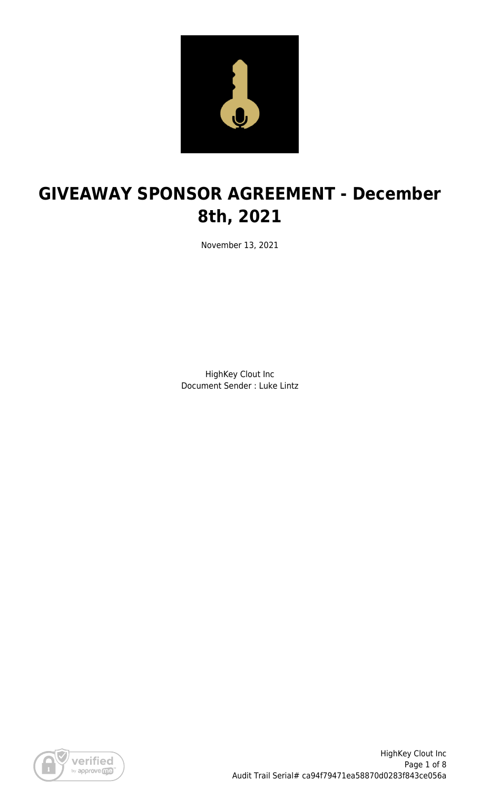

# **GIVEAWAY SPONSOR AGREEMENT - December 8th, 2021**

November 13, 2021

HighKey Clout Inc Document Sender : Luke Lintz

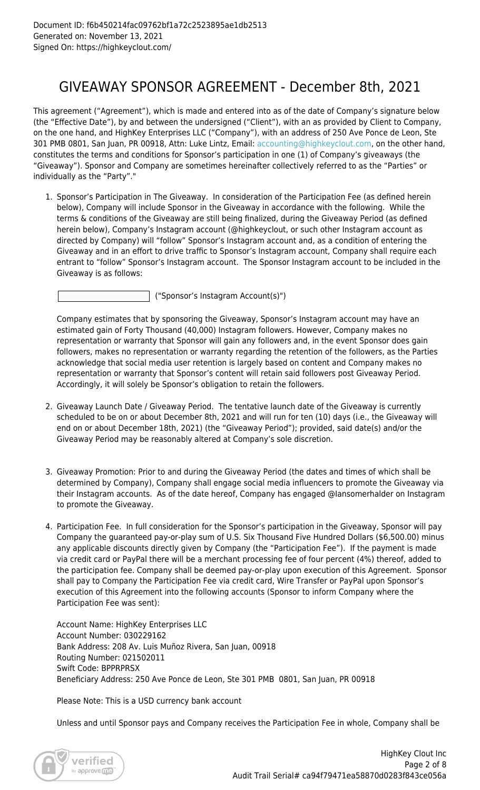## GIVEAWAY SPONSOR AGREEMENT - December 8th, 2021

This agreement ("Agreement"), which is made and entered into as of the date of Company's signature below (the "Effective Date"), by and between the undersigned ("Client"), with an as provided by Client to Company, on the one hand, and HighKey Enterprises LLC ("Company"), with an address of 250 Ave Ponce de Leon, Ste 301 PMB 0801, San Juan, PR 00918, Attn: Luke Lintz, Email: [accounting@highkeyclout.com,](mailto:accounting@highkeyclout.com) on the other hand, constitutes the terms and conditions for Sponsor's participation in one (1) of Company's giveaways (the "Giveaway"). Sponsor and Company are sometimes hereinafter collectively referred to as the "Parties" or individually as the "Party"."

1. Sponsor's Participation in The Giveaway. In consideration of the Participation Fee (as defined herein below), Company will include Sponsor in the Giveaway in accordance with the following. While the terms & conditions of the Giveaway are still being finalized, during the Giveaway Period (as defined herein below), Company's Instagram account (@highkeyclout, or such other Instagram account as directed by Company) will "follow" Sponsor's Instagram account and, as a condition of entering the Giveaway and in an effort to drive traffic to Sponsor's Instagram account, Company shall require each entrant to "follow" Sponsor's Instagram account. The Sponsor Instagram account to be included in the Giveaway is as follows:

("Sponsor's Instagram Account(s)")

Company estimates that by sponsoring the Giveaway, Sponsor's Instagram account may have an estimated gain of Forty Thousand (40,000) Instagram followers. However, Company makes no representation or warranty that Sponsor will gain any followers and, in the event Sponsor does gain followers, makes no representation or warranty regarding the retention of the followers, as the Parties acknowledge that social media user retention is largely based on content and Company makes no representation or warranty that Sponsor's content will retain said followers post Giveaway Period. Accordingly, it will solely be Sponsor's obligation to retain the followers.

- 2. Giveaway Launch Date / Giveaway Period. The tentative launch date of the Giveaway is currently scheduled to be on or about December 8th, 2021 and will run for ten (10) days (i.e., the Giveaway will end on or about December 18th, 2021) (the "Giveaway Period"); provided, said date(s) and/or the Giveaway Period may be reasonably altered at Company's sole discretion.
- 3. Giveaway Promotion: Prior to and during the Giveaway Period (the dates and times of which shall be determined by Company), Company shall engage social media influencers to promote the Giveaway via their Instagram accounts. As of the date hereof, Company has engaged @Iansomerhalder on Instagram to promote the Giveaway.
- 4. Participation Fee. In full consideration for the Sponsor's participation in the Giveaway, Sponsor will pay Company the guaranteed pay-or-play sum of U.S. Six Thousand Five Hundred Dollars (\$6,500.00) minus any applicable discounts directly given by Company (the "Participation Fee"). If the payment is made via credit card or PayPal there will be a merchant processing fee of four percent (4%) thereof, added to the participation fee. Company shall be deemed pay-or-play upon execution of this Agreement. Sponsor shall pay to Company the Participation Fee via credit card, Wire Transfer or PayPal upon Sponsor's execution of this Agreement into the following accounts (Sponsor to inform Company where the Participation Fee was sent):

Account Name: HighKey Enterprises LLC Account Number: 030229162 Bank Address: 208 Av. Luis Muñoz Rivera, San Juan, 00918 Routing Number: 021502011 Swift Code: BPPRPRSX Beneficiary Address: 250 Ave Ponce de Leon, Ste 301 PMB 0801, San Juan, PR 00918

Please Note: This is a USD currency bank account

Unless and until Sponsor pays and Company receives the Participation Fee in whole, Company shall be

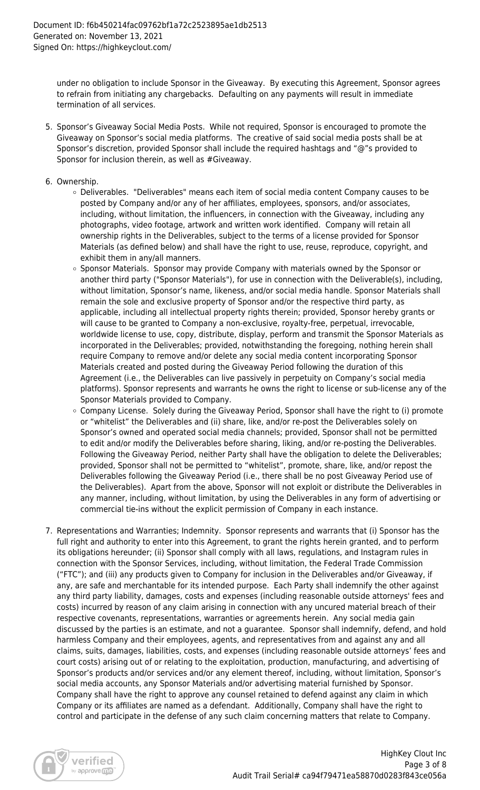under no obligation to include Sponsor in the Giveaway. By executing this Agreement, Sponsor agrees to refrain from initiating any chargebacks. Defaulting on any payments will result in immediate termination of all services.

- 5. Sponsor's Giveaway Social Media Posts. While not required, Sponsor is encouraged to promote the Giveaway on Sponsor's social media platforms. The creative of said social media posts shall be at Sponsor's discretion, provided Sponsor shall include the required hashtags and "@"s provided to Sponsor for inclusion therein, as well as #Giveaway.
- 6. Ownership.
	- Deliverables. "Deliverables" means each item of social media content Company causes to be posted by Company and/or any of her affiliates, employees, sponsors, and/or associates, including, without limitation, the influencers, in connection with the Giveaway, including any photographs, video footage, artwork and written work identified. Company will retain all ownership rights in the Deliverables, subject to the terms of a license provided for Sponsor Materials (as defined below) and shall have the right to use, reuse, reproduce, copyright, and exhibit them in any/all manners.
	- Sponsor Materials. Sponsor may provide Company with materials owned by the Sponsor or another third party ("Sponsor Materials"), for use in connection with the Deliverable(s), including, without limitation, Sponsor's name, likeness, and/or social media handle. Sponsor Materials shall remain the sole and exclusive property of Sponsor and/or the respective third party, as applicable, including all intellectual property rights therein; provided, Sponsor hereby grants or will cause to be granted to Company a non-exclusive, royalty-free, perpetual, irrevocable, worldwide license to use, copy, distribute, display, perform and transmit the Sponsor Materials as incorporated in the Deliverables; provided, notwithstanding the foregoing, nothing herein shall require Company to remove and/or delete any social media content incorporating Sponsor Materials created and posted during the Giveaway Period following the duration of this Agreement (i.e., the Deliverables can live passively in perpetuity on Company's social media platforms). Sponsor represents and warrants he owns the right to license or sub-license any of the Sponsor Materials provided to Company.
	- $\circ$  Company License. Solely during the Giveaway Period, Sponsor shall have the right to (i) promote or "whitelist" the Deliverables and (ii) share, like, and/or re-post the Deliverables solely on Sponsor's owned and operated social media channels; provided, Sponsor shall not be permitted to edit and/or modify the Deliverables before sharing, liking, and/or re-posting the Deliverables. Following the Giveaway Period, neither Party shall have the obligation to delete the Deliverables; provided, Sponsor shall not be permitted to "whitelist", promote, share, like, and/or repost the Deliverables following the Giveaway Period (i.e., there shall be no post Giveaway Period use of the Deliverables). Apart from the above, Sponsor will not exploit or distribute the Deliverables in any manner, including, without limitation, by using the Deliverables in any form of advertising or commercial tie-ins without the explicit permission of Company in each instance.
- 7. Representations and Warranties; Indemnity. Sponsor represents and warrants that (i) Sponsor has the full right and authority to enter into this Agreement, to grant the rights herein granted, and to perform its obligations hereunder; (ii) Sponsor shall comply with all laws, regulations, and Instagram rules in connection with the Sponsor Services, including, without limitation, the Federal Trade Commission ("FTC"); and (iii) any products given to Company for inclusion in the Deliverables and/or Giveaway, if any, are safe and merchantable for its intended purpose. Each Party shall indemnify the other against any third party liability, damages, costs and expenses (including reasonable outside attorneys' fees and costs) incurred by reason of any claim arising in connection with any uncured material breach of their respective covenants, representations, warranties or agreements herein. Any social media gain discussed by the parties is an estimate, and not a guarantee. Sponsor shall indemnify, defend, and hold harmless Company and their employees, agents, and representatives from and against any and all claims, suits, damages, liabilities, costs, and expenses (including reasonable outside attorneys' fees and court costs) arising out of or relating to the exploitation, production, manufacturing, and advertising of Sponsor's products and/or services and/or any element thereof, including, without limitation, Sponsor's social media accounts, any Sponsor Materials and/or advertising material furnished by Sponsor. Company shall have the right to approve any counsel retained to defend against any claim in which Company or its affiliates are named as a defendant. Additionally, Company shall have the right to control and participate in the defense of any such claim concerning matters that relate to Company.

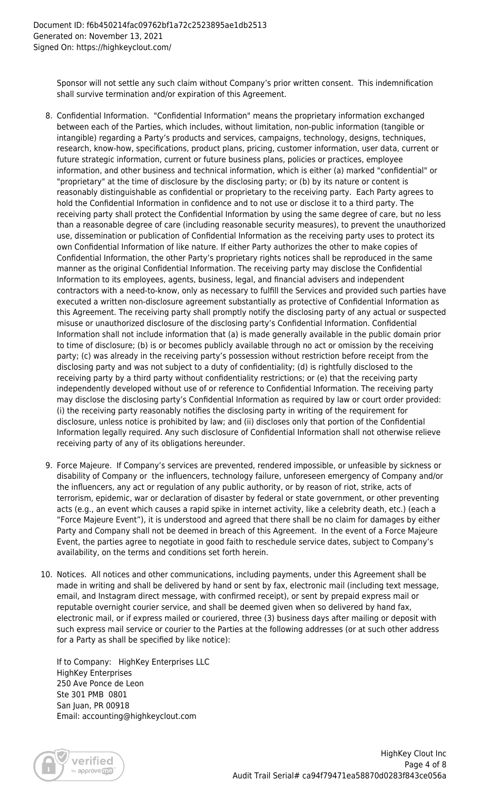Sponsor will not settle any such claim without Company's prior written consent. This indemnification shall survive termination and/or expiration of this Agreement.

- 8. Confidential Information. "Confidential Information" means the proprietary information exchanged between each of the Parties, which includes, without limitation, non-public information (tangible or intangible) regarding a Party's products and services, campaigns, technology, designs, techniques, research, know-how, specifications, product plans, pricing, customer information, user data, current or future strategic information, current or future business plans, policies or practices, employee information, and other business and technical information, which is either (a) marked "confidential" or "proprietary" at the time of disclosure by the disclosing party; or (b) by its nature or content is reasonably distinguishable as confidential or proprietary to the receiving party. Each Party agrees to hold the Confidential Information in confidence and to not use or disclose it to a third party. The receiving party shall protect the Confidential Information by using the same degree of care, but no less than a reasonable degree of care (including reasonable security measures), to prevent the unauthorized use, dissemination or publication of Confidential Information as the receiving party uses to protect its own Confidential Information of like nature. If either Party authorizes the other to make copies of Confidential Information, the other Party's proprietary rights notices shall be reproduced in the same manner as the original Confidential Information. The receiving party may disclose the Confidential Information to its employees, agents, business, legal, and financial advisers and independent contractors with a need-to-know, only as necessary to fulfill the Services and provided such parties have executed a written non-disclosure agreement substantially as protective of Confidential Information as this Agreement. The receiving party shall promptly notify the disclosing party of any actual or suspected misuse or unauthorized disclosure of the disclosing party's Confidential Information. Confidential Information shall not include information that (a) is made generally available in the public domain prior to time of disclosure; (b) is or becomes publicly available through no act or omission by the receiving party; (c) was already in the receiving party's possession without restriction before receipt from the disclosing party and was not subject to a duty of confidentiality; (d) is rightfully disclosed to the receiving party by a third party without confidentiality restrictions; or (e) that the receiving party independently developed without use of or reference to Confidential Information. The receiving party may disclose the disclosing party's Confidential Information as required by law or court order provided: (i) the receiving party reasonably notifies the disclosing party in writing of the requirement for disclosure, unless notice is prohibited by law; and (ii) discloses only that portion of the Confidential Information legally required. Any such disclosure of Confidential Information shall not otherwise relieve receiving party of any of its obligations hereunder.
- 9. Force Majeure. If Company's services are prevented, rendered impossible, or unfeasible by sickness or disability of Company or the influencers, technology failure, unforeseen emergency of Company and/or the influencers, any act or regulation of any public authority, or by reason of riot, strike, acts of terrorism, epidemic, war or declaration of disaster by federal or state government, or other preventing acts (e.g., an event which causes a rapid spike in internet activity, like a celebrity death, etc.) (each a "Force Majeure Event"), it is understood and agreed that there shall be no claim for damages by either Party and Company shall not be deemed in breach of this Agreement. In the event of a Force Majeure Event, the parties agree to negotiate in good faith to reschedule service dates, subject to Company's availability, on the terms and conditions set forth herein.
- 10. Notices. All notices and other communications, including payments, under this Agreement shall be made in writing and shall be delivered by hand or sent by fax, electronic mail (including text message, email, and Instagram direct message, with confirmed receipt), or sent by prepaid express mail or reputable overnight courier service, and shall be deemed given when so delivered by hand fax, electronic mail, or if express mailed or couriered, three (3) business days after mailing or deposit with such express mail service or courier to the Parties at the following addresses (or at such other address for a Party as shall be specified by like notice):

If to Company: HighKey Enterprises LLC HighKey Enterprises 250 Ave Ponce de Leon Ste 301 PMB 0801 San Juan, PR 00918 Email: accounting@highkeyclout.com

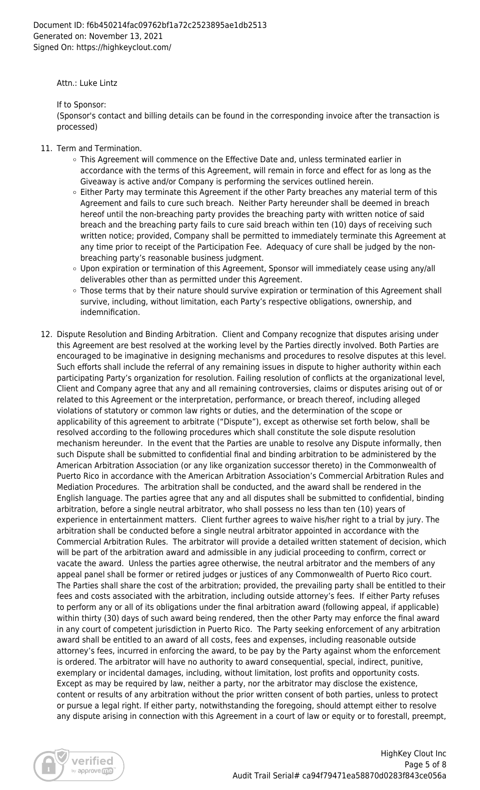Attn.: Luke Lintz

If to Sponsor:

(Sponsor's contact and billing details can be found in the corresponding invoice after the transaction is processed)

- 11. Term and Termination.
	- This Agreement will commence on the Effective Date and, unless terminated earlier in accordance with the terms of this Agreement, will remain in force and effect for as long as the Giveaway is active and/or Company is performing the services outlined herein.
	- $\circ$  Either Party may terminate this Agreement if the other Party breaches any material term of this Agreement and fails to cure such breach. Neither Party hereunder shall be deemed in breach hereof until the non-breaching party provides the breaching party with written notice of said breach and the breaching party fails to cure said breach within ten (10) days of receiving such written notice; provided, Company shall be permitted to immediately terminate this Agreement at any time prior to receipt of the Participation Fee. Adequacy of cure shall be judged by the nonbreaching party's reasonable business judgment.
	- Upon expiration or termination of this Agreement, Sponsor will immediately cease using any/all deliverables other than as permitted under this Agreement.
	- o Those terms that by their nature should survive expiration or termination of this Agreement shall survive, including, without limitation, each Party's respective obligations, ownership, and indemnification.
- 12. Dispute Resolution and Binding Arbitration. Client and Company recognize that disputes arising under this Agreement are best resolved at the working level by the Parties directly involved. Both Parties are encouraged to be imaginative in designing mechanisms and procedures to resolve disputes at this level. Such efforts shall include the referral of any remaining issues in dispute to higher authority within each participating Party's organization for resolution. Failing resolution of conflicts at the organizational level, Client and Company agree that any and all remaining controversies, claims or disputes arising out of or related to this Agreement or the interpretation, performance, or breach thereof, including alleged violations of statutory or common law rights or duties, and the determination of the scope or applicability of this agreement to arbitrate ("Dispute"), except as otherwise set forth below, shall be resolved according to the following procedures which shall constitute the sole dispute resolution mechanism hereunder. In the event that the Parties are unable to resolve any Dispute informally, then such Dispute shall be submitted to confidential final and binding arbitration to be administered by the American Arbitration Association (or any like organization successor thereto) in the Commonwealth of Puerto Rico in accordance with the American Arbitration Association's Commercial Arbitration Rules and Mediation Procedures. The arbitration shall be conducted, and the award shall be rendered in the English language. The parties agree that any and all disputes shall be submitted to confidential, binding arbitration, before a single neutral arbitrator, who shall possess no less than ten (10) years of experience in entertainment matters. Client further agrees to waive his/her right to a trial by jury. The arbitration shall be conducted before a single neutral arbitrator appointed in accordance with the Commercial Arbitration Rules. The arbitrator will provide a detailed written statement of decision, which will be part of the arbitration award and admissible in any judicial proceeding to confirm, correct or vacate the award. Unless the parties agree otherwise, the neutral arbitrator and the members of any appeal panel shall be former or retired judges or justices of any Commonwealth of Puerto Rico court. The Parties shall share the cost of the arbitration; provided, the prevailing party shall be entitled to their fees and costs associated with the arbitration, including outside attorney's fees. If either Party refuses to perform any or all of its obligations under the final arbitration award (following appeal, if applicable) within thirty (30) days of such award being rendered, then the other Party may enforce the final award in any court of competent jurisdiction in Puerto Rico. The Party seeking enforcement of any arbitration award shall be entitled to an award of all costs, fees and expenses, including reasonable outside attorney's fees, incurred in enforcing the award, to be pay by the Party against whom the enforcement is ordered. The arbitrator will have no authority to award consequential, special, indirect, punitive, exemplary or incidental damages, including, without limitation, lost profits and opportunity costs. Except as may be required by law, neither a party, nor the arbitrator may disclose the existence, content or results of any arbitration without the prior written consent of both parties, unless to protect or pursue a legal right. If either party, notwithstanding the foregoing, should attempt either to resolve any dispute arising in connection with this Agreement in a court of law or equity or to forestall, preempt,

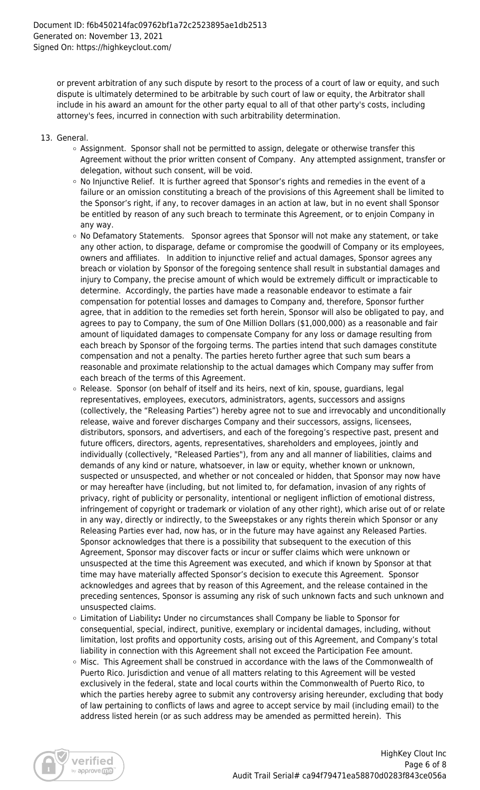or prevent arbitration of any such dispute by resort to the process of a court of law or equity, and such dispute is ultimately determined to be arbitrable by such court of law or equity, the Arbitrator shall include in his award an amount for the other party equal to all of that other party's costs, including attorney's fees, incurred in connection with such arbitrability determination.

- 13. General.
	- Assignment. Sponsor shall not be permitted to assign, delegate or otherwise transfer this Agreement without the prior written consent of Company. Any attempted assignment, transfer or delegation, without such consent, will be void.
	- $\circ$  No Injunctive Relief. It is further agreed that Sponsor's rights and remedies in the event of a failure or an omission constituting a breach of the provisions of this Agreement shall be limited to the Sponsor's right, if any, to recover damages in an action at law, but in no event shall Sponsor be entitled by reason of any such breach to terminate this Agreement, or to enjoin Company in any way.
	- o No Defamatory Statements. Sponsor agrees that Sponsor will not make any statement, or take any other action, to disparage, defame or compromise the goodwill of Company or its employees, owners and affiliates. In addition to injunctive relief and actual damages, Sponsor agrees any breach or violation by Sponsor of the foregoing sentence shall result in substantial damages and injury to Company, the precise amount of which would be extremely difficult or impracticable to determine. Accordingly, the parties have made a reasonable endeavor to estimate a fair compensation for potential losses and damages to Company and, therefore, Sponsor further agree, that in addition to the remedies set forth herein, Sponsor will also be obligated to pay, and agrees to pay to Company, the sum of One Million Dollars (\$1,000,000) as a reasonable and fair amount of liquidated damages to compensate Company for any loss or damage resulting from each breach by Sponsor of the forgoing terms. The parties intend that such damages constitute compensation and not a penalty. The parties hereto further agree that such sum bears a reasonable and proximate relationship to the actual damages which Company may suffer from each breach of the terms of this Agreement.
	- $\circ$  Release. Sponsor (on behalf of itself and its heirs, next of kin, spouse, guardians, legal representatives, employees, executors, administrators, agents, successors and assigns (collectively, the "Releasing Parties") hereby agree not to sue and irrevocably and unconditionally release, waive and forever discharges Company and their successors, assigns, licensees, distributors, sponsors, and advertisers, and each of the foregoing's respective past, present and future officers, directors, agents, representatives, shareholders and employees, jointly and individually (collectively, "Released Parties"), from any and all manner of liabilities, claims and demands of any kind or nature, whatsoever, in law or equity, whether known or unknown, suspected or unsuspected, and whether or not concealed or hidden, that Sponsor may now have or may hereafter have (including, but not limited to, for defamation, invasion of any rights of privacy, right of publicity or personality, intentional or negligent infliction of emotional distress, infringement of copyright or trademark or violation of any other right), which arise out of or relate in any way, directly or indirectly, to the Sweepstakes or any rights therein which Sponsor or any Releasing Parties ever had, now has, or in the future may have against any Released Parties. Sponsor acknowledges that there is a possibility that subsequent to the execution of this Agreement, Sponsor may discover facts or incur or suffer claims which were unknown or unsuspected at the time this Agreement was executed, and which if known by Sponsor at that time may have materially affected Sponsor's decision to execute this Agreement. Sponsor acknowledges and agrees that by reason of this Agreement, and the release contained in the preceding sentences, Sponsor is assuming any risk of such unknown facts and such unknown and unsuspected claims.
	- Limitation of Liability**:** Under no circumstances shall Company be liable to Sponsor for consequential, special, indirect, punitive, exemplary or incidental damages, including, without limitation, lost profits and opportunity costs, arising out of this Agreement, and Company's total liability in connection with this Agreement shall not exceed the Participation Fee amount.
	- Misc. This Agreement shall be construed in accordance with the laws of the Commonwealth of Puerto Rico. Jurisdiction and venue of all matters relating to this Agreement will be vested exclusively in the federal, state and local courts within the Commonwealth of Puerto Rico, to which the parties hereby agree to submit any controversy arising hereunder, excluding that body of law pertaining to conflicts of laws and agree to accept service by mail (including email) to the address listed herein (or as such address may be amended as permitted herein). This

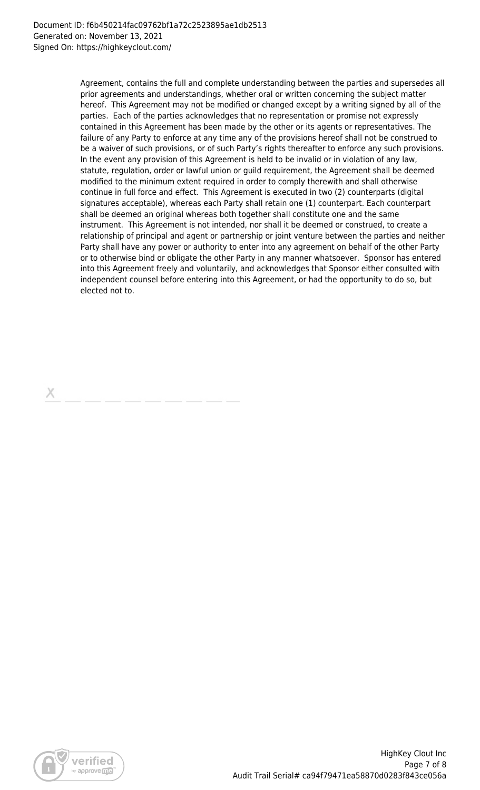Agreement, contains the full and complete understanding between the parties and supersedes all prior agreements and understandings, whether oral or written concerning the subject matter hereof. This Agreement may not be modified or changed except by a writing signed by all of the parties. Each of the parties acknowledges that no representation or promise not expressly contained in this Agreement has been made by the other or its agents or representatives. The failure of any Party to enforce at any time any of the provisions hereof shall not be construed to be a waiver of such provisions, or of such Party's rights thereafter to enforce any such provisions. In the event any provision of this Agreement is held to be invalid or in violation of any law, statute, regulation, order or lawful union or guild requirement, the Agreement shall be deemed modified to the minimum extent required in order to comply therewith and shall otherwise continue in full force and effect. This Agreement is executed in two (2) counterparts (digital signatures acceptable), whereas each Party shall retain one (1) counterpart. Each counterpart shall be deemed an original whereas both together shall constitute one and the same instrument. This Agreement is not intended, nor shall it be deemed or construed, to create a relationship of principal and agent or partnership or joint venture between the parties and neither Party shall have any power or authority to enter into any agreement on behalf of the other Party or to otherwise bind or obligate the other Party in any manner whatsoever. Sponsor has entered into this Agreement freely and voluntarily, and acknowledges that Sponsor either consulted with independent counsel before entering into this Agreement, or had the opportunity to do so, but elected not to.

х